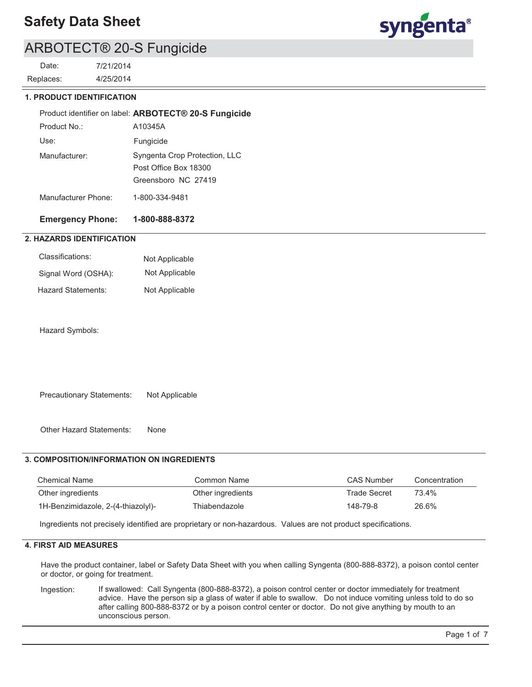

### ARBOTECT® 20-S Fungicide

4/25/2014 7/21/2014 Replaces: Date:

### **1. PRODUCT IDENTIFICATION**

|                     | Product identifier on label: ARBOTECT® 20-S Fungicide                         |
|---------------------|-------------------------------------------------------------------------------|
| Product No.:        | A10345A                                                                       |
| Use:                | Fungicide                                                                     |
| Manufacturer:       | Syngenta Crop Protection, LLC<br>Post Office Box 18300<br>Greensboro NC 27419 |
| Manufacturer Phone: | 1-800-334-9481                                                                |

### **Emergency Phone: 1-800-888-8372**

### **2. HAZARDS IDENTIFICATION**

| Classifications:    | Not Applicable |
|---------------------|----------------|
| Signal Word (OSHA): | Not Applicable |
| Hazard Statements:  | Not Applicable |

Hazard Symbols:

Precautionary Statements: Not Applicable

Other Hazard Statements: None

### **3. COMPOSITION/INFORMATION ON INGREDIENTS**

| <b>Chemical Name</b>               | Common Name       | <b>CAS Number</b>   | Concentration |
|------------------------------------|-------------------|---------------------|---------------|
| Other ingredients                  | Other ingredients | <b>Trade Secret</b> | 73.4%         |
| 1H-Benzimidazole, 2-(4-thiazolyl)- | Thiabendazole     | 148-79-8            | 26.6%         |

Ingredients not precisely identified are proprietary or non-hazardous. Values are not product specifications.

### **4. FIRST AID MEASURES**

Have the product container, label or Safety Data Sheet with you when calling Syngenta (800-888-8372), a poison contol center or doctor, or going for treatment.

If swallowed: Call Syngenta (800-888-8372), a poison control center or doctor immediately for treatment advice. Have the person sip a glass of water if able to swallow. Do not induce vomiting unless told to do so after calling 800-888-8372 or by a poison control center or doctor. Do not give anything by mouth to an unconscious person. Ingestion: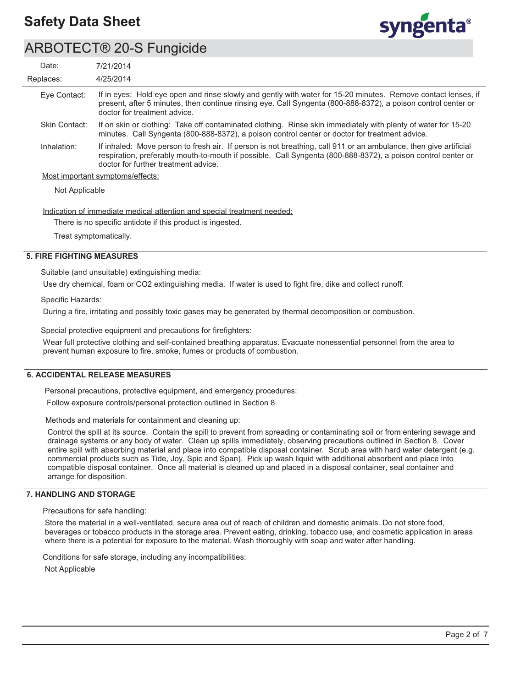

### ARBOTECT® 20-S Fungicide

| Date:          | 7/21/2014                                                                                                                                                                                                                                                                |
|----------------|--------------------------------------------------------------------------------------------------------------------------------------------------------------------------------------------------------------------------------------------------------------------------|
| Replaces:      | 4/25/2014                                                                                                                                                                                                                                                                |
| Eye Contact:   | If in eyes: Hold eye open and rinse slowly and gently with water for 15-20 minutes. Remove contact lenses, if<br>present, after 5 minutes, then continue rinsing eye. Call Syngenta (800-888-8372), a poison control center or<br>doctor for treatment advice.           |
| Skin Contact:  | If on skin or clothing: Take off contaminated clothing. Rinse skin immediately with plenty of water for 15-20<br>minutes. Call Syngenta (800-888-8372), a poison control center or doctor for treatment advice.                                                          |
| Inhalation:    | If inhaled: Move person to fresh air. If person is not breathing, call 911 or an ambulance, then give artificial<br>respiration, preferably mouth-to-mouth if possible. Call Syngenta (800-888-8372), a poison control center or<br>doctor for further treatment advice. |
|                | Most important symptoms/effects:                                                                                                                                                                                                                                         |
| Not Applicable |                                                                                                                                                                                                                                                                          |
|                | Indication of immediate medical attention and special treatment needed:                                                                                                                                                                                                  |

There is no specific antidote if this product is ingested.

Treat symptomatically.

### **5. FIRE FIGHTING MEASURES**

Suitable (and unsuitable) extinguishing media:

Use dry chemical, foam or CO2 extinguishing media. If water is used to fight fire, dike and collect runoff.

Specific Hazards:

During a fire, irritating and possibly toxic gases may be generated by thermal decomposition or combustion.

Special protective equipment and precautions for firefighters:

Wear full protective clothing and self-contained breathing apparatus. Evacuate nonessential personnel from the area to prevent human exposure to fire, smoke, fumes or products of combustion.

### **6. ACCIDENTAL RELEASE MEASURES**

Personal precautions, protective equipment, and emergency procedures:

Follow exposure controls/personal protection outlined in Section 8.

Methods and materials for containment and cleaning up:

Control the spill at its source. Contain the spill to prevent from spreading or contaminating soil or from entering sewage and drainage systems or any body of water. Clean up spills immediately, observing precautions outlined in Section 8. Cover entire spill with absorbing material and place into compatible disposal container. Scrub area with hard water detergent (e.g. commercial products such as Tide, Joy, Spic and Span). Pick up wash liquid with additional absorbent and place into compatible disposal container. Once all material is cleaned up and placed in a disposal container, seal container and arrange for disposition.

### **7. HANDLING AND STORAGE**

Precautions for safe handling:

Store the material in a well-ventilated, secure area out of reach of children and domestic animals. Do not store food, beverages or tobacco products in the storage area. Prevent eating, drinking, tobacco use, and cosmetic application in areas where there is a potential for exposure to the material. Wash thoroughly with soap and water after handling.

Conditions for safe storage, including any incompatibilities:

Not Applicable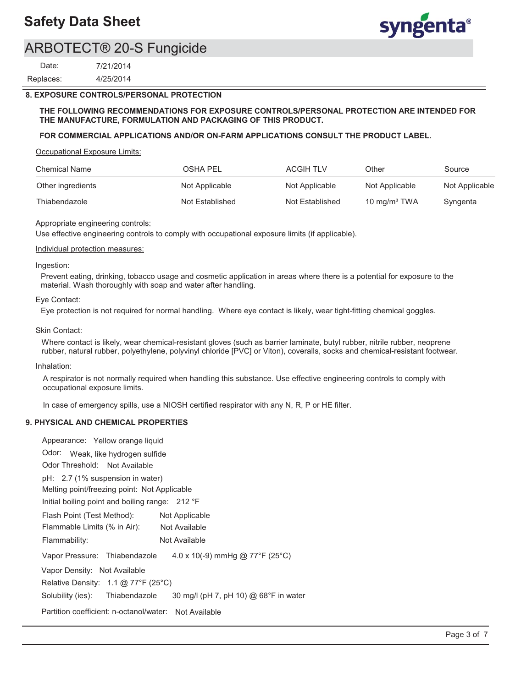

### ARBOTECT® 20-S Fungicide

4/25/2014 7/21/2014 Replaces: Date:

### **8. EXPOSURE CONTROLS/PERSONAL PROTECTION**

### **THE FOLLOWING RECOMMENDATIONS FOR EXPOSURE CONTROLS/PERSONAL PROTECTION ARE INTENDED FOR THE MANUFACTURE, FORMULATION AND PACKAGING OF THIS PRODUCT.**

### **FOR COMMERCIAL APPLICATIONS AND/OR ON-FARM APPLICATIONS CONSULT THE PRODUCT LABEL.**

Occupational Exposure Limits:

| <b>Chemical Name</b> | OSHA PEL        | <b>ACGIH TLV</b> | Other                    | Source         |
|----------------------|-----------------|------------------|--------------------------|----------------|
| Other ingredients    | Not Applicable  | Not Applicable   | Not Applicable           | Not Applicable |
| Thiabendazole        | Not Established | Not Established  | 10 mg/m <sup>3</sup> TWA | Syngenta       |

#### Appropriate engineering controls:

Use effective engineering controls to comply with occupational exposure limits (if applicable).

#### Individual protection measures:

#### Ingestion:

Prevent eating, drinking, tobacco usage and cosmetic application in areas where there is a potential for exposure to the material. Wash thoroughly with soap and water after handling.

#### Eye Contact:

Eye protection is not required for normal handling. Where eye contact is likely, wear tight-fitting chemical goggles.

#### Skin Contact:

Where contact is likely, wear chemical-resistant gloves (such as barrier laminate, butyl rubber, nitrile rubber, neoprene rubber, natural rubber, polyethylene, polyvinyl chloride [PVC] or Viton), coveralls, socks and chemical-resistant footwear.

#### Inhalation:

A respirator is not normally required when handling this substance. Use effective engineering controls to comply with occupational exposure limits.

In case of emergency spills, use a NIOSH certified respirator with any N, R, P or HE filter.

### **9. PHYSICAL AND CHEMICAL PROPERTIES**

| Appearance: Yellow orange liquid                                         |
|--------------------------------------------------------------------------|
| Odor: Weak, like hydrogen sulfide                                        |
| Odor Threshold: Not Available                                            |
| pH: 2.7 (1% suspension in water)                                         |
| Melting point/freezing point: Not Applicable                             |
| Initial boiling point and boiling range: 212 °F                          |
| Flash Point (Test Method):<br>Not Applicable                             |
| Flammable Limits (% in Air):<br>Not Available                            |
| Not Available<br>Flammability:                                           |
| 4.0 x 10(-9) mmHg @ 77°F (25°C)<br>Vapor Pressure: Thiabendazole         |
| Vapor Density: Not Available                                             |
| Relative Density: $1.1 \text{ @ } 77^{\circ}F (25^{\circ}C)$             |
| 30 mg/l (pH 7, pH 10) @ 68°F in water<br>Solubility (ies): Thiabendazole |
| Partition coefficient: n-octanol/water:<br>Not Available                 |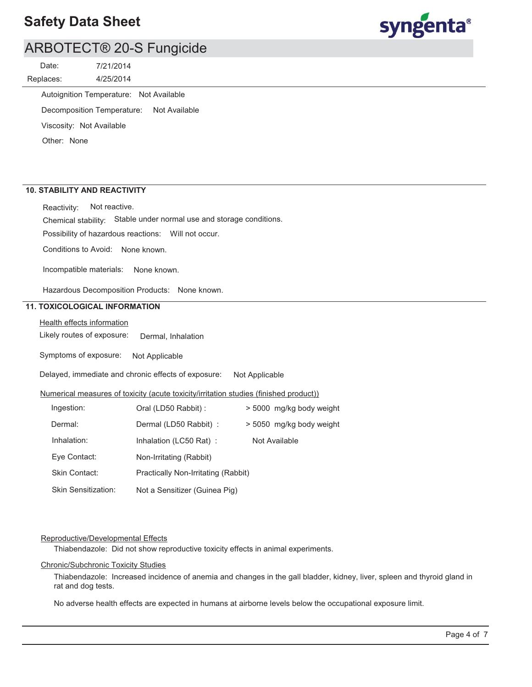

### ARBOTECT® 20-S Fungicide

4/25/2014 7/21/2014 Replaces: Date:

Autoignition Temperature: Not Available

Decomposition Temperature: Not Available

Viscosity: Not Available

Other: None

### **10. STABILITY AND REACTIVITY**

Reactivity: Not reactive.

Chemical stability: Stable under normal use and storage conditions.

Possibility of hazardous reactions: Will not occur.

Conditions to Avoid: None known.

Incompatible materials: None known.

Hazardous Decomposition Products: None known.

### **11. TOXICOLOGICAL INFORMATION**

Health effects information

Likely routes of exposure: Dermal, Inhalation

Symptoms of exposure: Not Applicable

Delayed, immediate and chronic effects of exposure: Not Applicable

#### Numerical measures of toxicity (acute toxicity/irritation studies (finished product))

| Ingestion:                 | Oral (LD50 Rabbit) :                | > 5000 mg/kg body weight |
|----------------------------|-------------------------------------|--------------------------|
| Dermal:                    | Dermal (LD50 Rabbit) :              | > 5050 mg/kg body weight |
| Inhalation:                | Inhalation (LC50 Rat):              | Not Available            |
| Eye Contact:               | Non-Irritating (Rabbit)             |                          |
| <b>Skin Contact:</b>       | Practically Non-Irritating (Rabbit) |                          |
| <b>Skin Sensitization:</b> | Not a Sensitizer (Guinea Pig)       |                          |

### Reproductive/Developmental Effects

Thiabendazole: Did not show reproductive toxicity effects in animal experiments.

#### Chronic/Subchronic Toxicity Studies

Thiabendazole: Increased incidence of anemia and changes in the gall bladder, kidney, liver, spleen and thyroid gland in rat and dog tests.

No adverse health effects are expected in humans at airborne levels below the occupational exposure limit.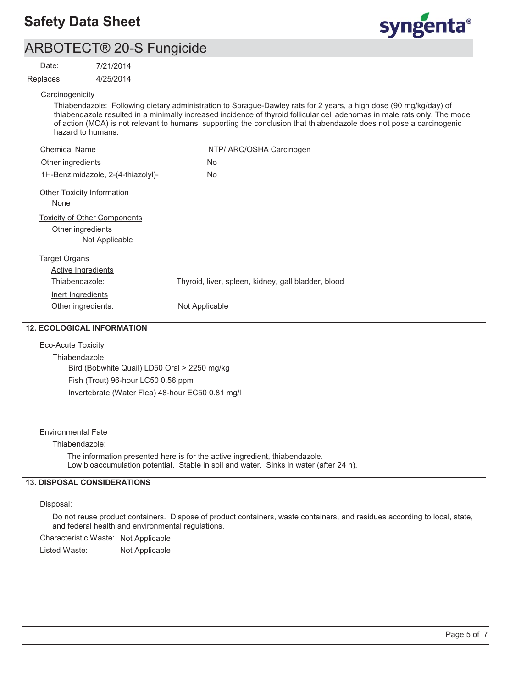

### ARBOTECT® 20-S Fungicide

Date:

### 7/21/2014

4/25/2014 Replaces:

**Carcinogenicity** 

Thiabendazole: Following dietary administration to Sprague-Dawley rats for 2 years, a high dose (90 mg/kg/day) of thiabendazole resulted in a minimally increased incidence of thyroid follicular cell adenomas in male rats only. The mode of action (MOA) is not relevant to humans, supporting the conclusion that thiabendazole does not pose a carcinogenic hazard to humans.

| <b>Chemical Name</b>                                                       | NTP/IARC/OSHA Carcinogen                            |
|----------------------------------------------------------------------------|-----------------------------------------------------|
| Other ingredients                                                          | No.                                                 |
| 1H-Benzimidazole, 2-(4-thiazolyl)-                                         | No                                                  |
| <b>Other Toxicity Information</b><br>None                                  |                                                     |
| <b>Toxicity of Other Components</b><br>Other ingredients<br>Not Applicable |                                                     |
| <b>Target Organs</b><br><b>Active Ingredients</b>                          |                                                     |
| Thiabendazole:                                                             | Thyroid, liver, spleen, kidney, gall bladder, blood |
| Inert Ingredients<br>Other ingredients:                                    | Not Applicable                                      |

### **12. ECOLOGICAL INFORMATION**

### Eco-Acute Toxicity

Thiabendazole: Bird (Bobwhite Quail) LD50 Oral > 2250 mg/kg Fish (Trout) 96-hour LC50 0.56 ppm Invertebrate (Water Flea) 48-hour EC50 0.81 mg/l

### Environmental Fate

### Thiabendazole:

The information presented here is for the active ingredient, thiabendazole. Low bioaccumulation potential. Stable in soil and water. Sinks in water (after 24 h).

### **13. DISPOSAL CONSIDERATIONS**

### Disposal:

Do not reuse product containers. Dispose of product containers, waste containers, and residues according to local, state, and federal health and environmental regulations.

Characteristic Waste: Not Applicable

Listed Waste: Not Applicable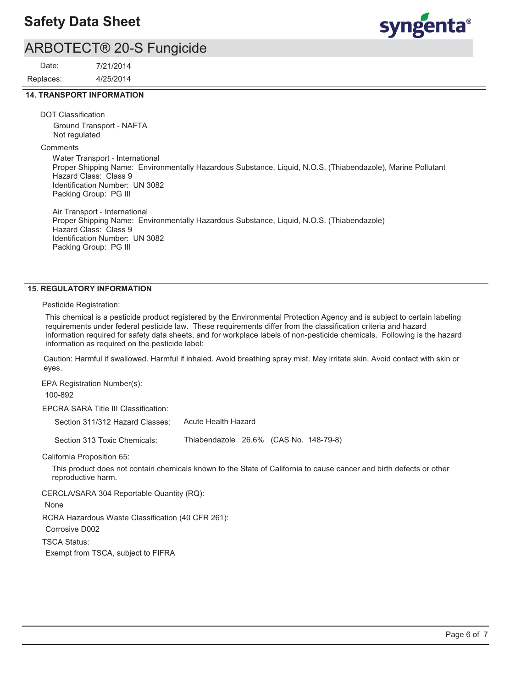# syngenta®

### ARBOTECT® 20-S Fungicide

4/25/2014 7/21/2014 Replaces: Date:

### **14. TRANSPORT INFORMATION**

DOT Classification

Ground Transport - NAFTA Not regulated

**Comments** 

Water Transport - International Proper Shipping Name: Environmentally Hazardous Substance, Liquid, N.O.S. (Thiabendazole), Marine Pollutant Hazard Class: Class 9 Identification Number: UN 3082 Packing Group: PG III

Air Transport - International Proper Shipping Name: Environmentally Hazardous Substance, Liquid, N.O.S. (Thiabendazole) Hazard Class: Class 9 Identification Number: UN 3082 Packing Group: PG III

### **15. REGULATORY INFORMATION**

Pesticide Registration:

This chemical is a pesticide product registered by the Environmental Protection Agency and is subject to certain labeling requirements under federal pesticide law. These requirements differ from the classification criteria and hazard information required for safety data sheets, and for workplace labels of non-pesticide chemicals. Following is the hazard information as required on the pesticide label:

Caution: Harmful if swallowed. Harmful if inhaled. Avoid breathing spray mist. May irritate skin. Avoid contact with skin or eyes.

EPA Registration Number(s): 100-892

EPCRA SARA Title III Classification:

| Section 311/312 Hazard Classes: | Acute Health Hazard                                                                                                 |
|---------------------------------|---------------------------------------------------------------------------------------------------------------------|
| Section 313 Toxic Chemicals:    | Thiabendazole 26.6% (CAS No. 148-79-8)                                                                              |
| California Proposition 65:      |                                                                                                                     |
| reproductive harm.              | This product does not contain chemicals known to the State of California to cause cancer and birth defects or other |

CERCLA/SARA 304 Reportable Quantity (RQ):

None

RCRA Hazardous Waste Classification (40 CFR 261):

Corrosive D002

TSCA Status:

Exempt from TSCA, subject to FIFRA